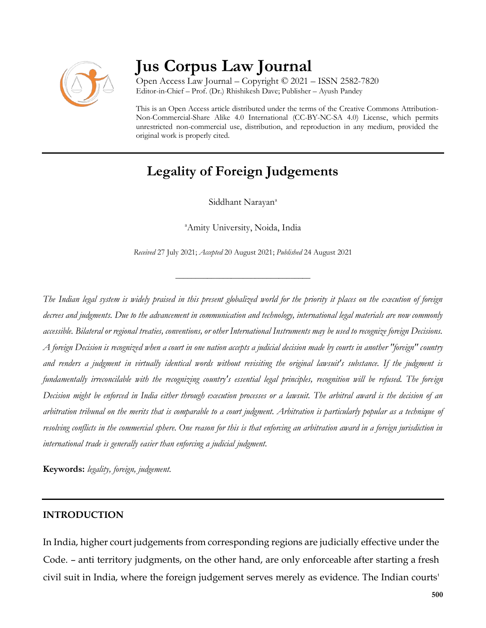

# **Jus Corpus Law Journal**

Open Access Law Journal – Copyright © 2021 – ISSN 2582-7820 Editor-in-Chief – Prof. (Dr.) Rhishikesh Dave; Publisher – Ayush Pandey

This is an Open Access article distributed under the terms of the Creative Commons Attribution-Non-Commercial-Share Alike 4.0 International (CC-BY-NC-SA 4.0) License, which permits unrestricted non-commercial use, distribution, and reproduction in any medium, provided the original work is properly cited.

# **Legality of Foreign Judgements**

Siddhant Narayan<sup>a</sup>

<sup>a</sup>Amity University, Noida, India

*Received* 27 July 2021; *Accepted* 20 August 2021; *Published* 24 August 2021

\_\_\_\_\_\_\_\_\_\_\_\_\_\_\_\_\_\_\_\_\_\_\_\_\_\_\_\_\_\_\_\_\_\_

*The Indian legal system is widely praised in this present globalized world for the priority it places on the execution of foreign decrees and judgments. Due to the advancement in communication and technology, international legal materials are now commonly accessible. Bilateral or regional treaties, conventions, or other International Instruments may be used to recognize foreign Decisions. A foreign Decision is recognized when a court in one nation accepts a judicial decision made by courts in another "foreign" country and renders a judgment in virtually identical words without revisiting the original lawsuit's substance. If the judgment is fundamentally irreconcilable with the recognizing country's essential legal principles, recognition will be refused. The foreign Decision might be enforced in India either through execution processes or a lawsuit. The arbitral award is the decision of an arbitration tribunal on the merits that is comparable to a court judgment. Arbitration is particularly popular as a technique of resolving conflicts in the commercial sphere. One reason for this is that enforcing an arbitration award in a foreign jurisdiction in international trade is generally easier than enforcing a judicial judgment.*

**Keywords:** *legality, foreign, judgement.*

#### **INTRODUCTION**

In India, higher court judgements from corresponding regions are judicially effective under the Code. – anti territory judgments, on the other hand, are only enforceable after starting a fresh civil suit in India, where the foreign judgement serves merely as evidence. The Indian courts'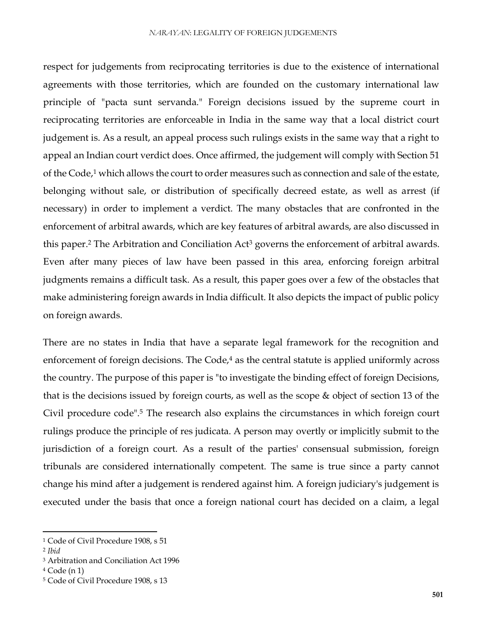respect for judgements from reciprocating territories is due to the existence of international agreements with those territories, which are founded on the customary international law principle of "pacta sunt servanda." Foreign decisions issued by the supreme court in reciprocating territories are enforceable in India in the same way that a local district court judgement is. As a result, an appeal process such rulings exists in the same way that a right to appeal an Indian court verdict does. Once affirmed, the judgement will comply with Section 51 of the Code,<sup>1</sup> which allows the court to order measures such as connection and sale of the estate, belonging without sale, or distribution of specifically decreed estate, as well as arrest (if necessary) in order to implement a verdict. The many obstacles that are confronted in the enforcement of arbitral awards, which are key features of arbitral awards, are also discussed in this paper.<sup>2</sup> The Arbitration and Conciliation Act<sup>3</sup> governs the enforcement of arbitral awards. Even after many pieces of law have been passed in this area, enforcing foreign arbitral judgments remains a difficult task. As a result, this paper goes over a few of the obstacles that make administering foreign awards in India difficult. It also depicts the impact of public policy on foreign awards.

There are no states in India that have a separate legal framework for the recognition and enforcement of foreign decisions. The Code,<sup>4</sup> as the central statute is applied uniformly across the country. The purpose of this paper is "to investigate the binding effect of foreign Decisions, that is the decisions issued by foreign courts, as well as the scope & object of section 13 of the Civil procedure code".<sup>5</sup> The research also explains the circumstances in which foreign court rulings produce the principle of res judicata. A person may overtly or implicitly submit to the jurisdiction of a foreign court. As a result of the parties' consensual submission, foreign tribunals are considered internationally competent. The same is true since a party cannot change his mind after a judgement is rendered against him. A foreign judiciary's judgement is executed under the basis that once a foreign national court has decided on a claim, a legal

<sup>1</sup> Code of Civil Procedure 1908, s 51

<sup>2</sup> *Ibid*

<sup>3</sup> Arbitration and Conciliation Act 1996

<sup>4</sup> Code (n 1)

<sup>5</sup> Code of Civil Procedure 1908, s 13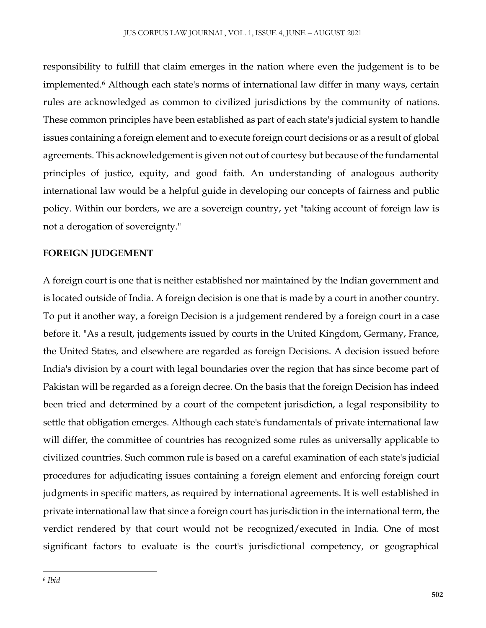responsibility to fulfill that claim emerges in the nation where even the judgement is to be implemented.<sup>6</sup> Although each state's norms of international law differ in many ways, certain rules are acknowledged as common to civilized jurisdictions by the community of nations. These common principles have been established as part of each state's judicial system to handle issues containing a foreign element and to execute foreign court decisions or as a result of global agreements. This acknowledgement is given not out of courtesy but because of the fundamental principles of justice, equity, and good faith. An understanding of analogous authority international law would be a helpful guide in developing our concepts of fairness and public policy. Within our borders, we are a sovereign country, yet "taking account of foreign law is not a derogation of sovereignty."

#### **FOREIGN JUDGEMENT**

A foreign court is one that is neither established nor maintained by the Indian government and is located outside of India. A foreign decision is one that is made by a court in another country. To put it another way, a foreign Decision is a judgement rendered by a foreign court in a case before it. "As a result, judgements issued by courts in the United Kingdom, Germany, France, the United States, and elsewhere are regarded as foreign Decisions. A decision issued before India's division by a court with legal boundaries over the region that has since become part of Pakistan will be regarded as a foreign decree. On the basis that the foreign Decision has indeed been tried and determined by a court of the competent jurisdiction, a legal responsibility to settle that obligation emerges. Although each state's fundamentals of private international law will differ, the committee of countries has recognized some rules as universally applicable to civilized countries. Such common rule is based on a careful examination of each state's judicial procedures for adjudicating issues containing a foreign element and enforcing foreign court judgments in specific matters, as required by international agreements. It is well established in private international law that since a foreign court has jurisdiction in the international term, the verdict rendered by that court would not be recognized/executed in India. One of most significant factors to evaluate is the court's jurisdictional competency, or geographical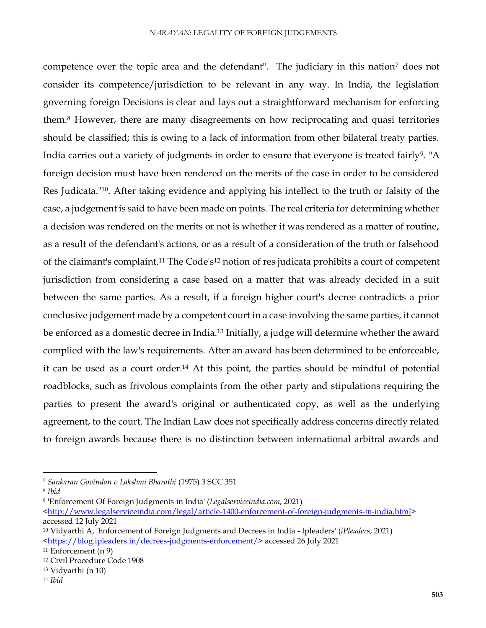competence over the topic area and the defendant". The judiciary in this nation<sup>7</sup> does not consider its competence/jurisdiction to be relevant in any way. In India, the legislation governing foreign Decisions is clear and lays out a straightforward mechanism for enforcing them.<sup>8</sup> However, there are many disagreements on how reciprocating and quasi territories should be classified; this is owing to a lack of information from other bilateral treaty parties. India carries out a variety of judgments in order to ensure that everyone is treated fairly<sup>9</sup>. "A foreign decision must have been rendered on the merits of the case in order to be considered Res Judicata."10. After taking evidence and applying his intellect to the truth or falsity of the case, a judgement is said to have been made on points. The real criteria for determining whether a decision was rendered on the merits or not is whether it was rendered as a matter of routine, as a result of the defendant's actions, or as a result of a consideration of the truth or falsehood of the claimant's complaint.<sup>11</sup> The Code's<sup>12</sup> notion of res judicata prohibits a court of competent jurisdiction from considering a case based on a matter that was already decided in a suit between the same parties. As a result, if a foreign higher court's decree contradicts a prior conclusive judgement made by a competent court in a case involving the same parties, it cannot be enforced as a domestic decree in India.<sup>13</sup> Initially, a judge will determine whether the award complied with the law's requirements. After an award has been determined to be enforceable, it can be used as a court order.<sup>14</sup> At this point, the parties should be mindful of potential roadblocks, such as frivolous complaints from the other party and stipulations requiring the parties to present the award's original or authenticated copy, as well as the underlying agreement, to the court. The Indian Law does not specifically address concerns directly related to foreign awards because there is no distinction between international arbitral awards and

<sup>7</sup> *Sankaran Govindan v Lakshmi Bharathi* (1975) 3 SCC 351

<sup>8</sup> *Ibid*

<sup>9</sup> 'Enforcement Of Foreign Judgments in India' (*Legalserviceindia.com*, 2021)

[<sup>&</sup>lt;http://www.legalserviceindia.com/legal/article-1400-enforcement-of-foreign-judgments-in-india.html>](http://www.legalserviceindia.com/legal/article-1400-enforcement-of-foreign-judgments-in-india.html) accessed 12 July 2021

<sup>10</sup> Vidyarthi A, 'Enforcement of Foreign Judgments and Decrees in India - Ipleaders' (*iPleaders*, 2021) [<https://blog.ipleaders.in/decrees-judgments-enforcement/>](https://blog.ipleaders.in/decrees-judgments-enforcement/) accessed 26 July 2021

<sup>11</sup> Enforcement (n 9)

<sup>12</sup> Civil Procedure Code 1908

<sup>13</sup> Vidyarthi (n 10)

<sup>14</sup> *Ibid*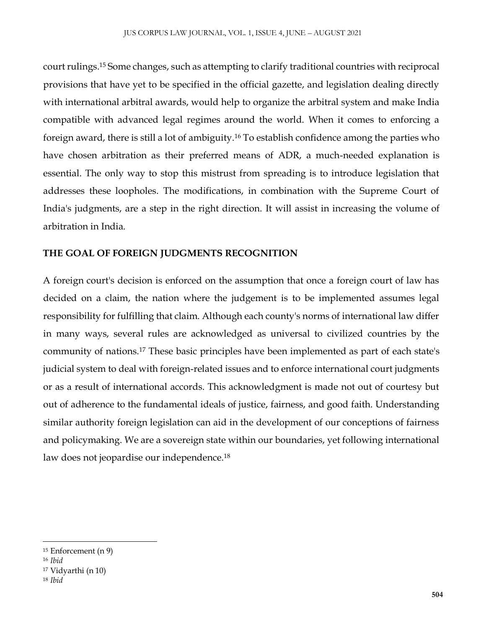court rulings.<sup>15</sup> Some changes, such as attempting to clarify traditional countries with reciprocal provisions that have yet to be specified in the official gazette, and legislation dealing directly with international arbitral awards, would help to organize the arbitral system and make India compatible with advanced legal regimes around the world. When it comes to enforcing a foreign award, there is still a lot of ambiguity.<sup>16</sup> To establish confidence among the parties who have chosen arbitration as their preferred means of ADR, a much-needed explanation is essential. The only way to stop this mistrust from spreading is to introduce legislation that addresses these loopholes. The modifications, in combination with the Supreme Court of India's judgments, are a step in the right direction. It will assist in increasing the volume of arbitration in India.

# **THE GOAL OF FOREIGN JUDGMENTS RECOGNITION**

A foreign court's decision is enforced on the assumption that once a foreign court of law has decided on a claim, the nation where the judgement is to be implemented assumes legal responsibility for fulfilling that claim. Although each county's norms of international law differ in many ways, several rules are acknowledged as universal to civilized countries by the community of nations.<sup>17</sup> These basic principles have been implemented as part of each state's judicial system to deal with foreign-related issues and to enforce international court judgments or as a result of international accords. This acknowledgment is made not out of courtesy but out of adherence to the fundamental ideals of justice, fairness, and good faith. Understanding similar authority foreign legislation can aid in the development of our conceptions of fairness and policymaking. We are a sovereign state within our boundaries, yet following international law does not jeopardise our independence.<sup>18</sup>

<sup>15</sup> Enforcement (n 9)

<sup>16</sup> *Ibid*

<sup>17</sup> Vidyarthi (n 10)

<sup>18</sup> *Ibid*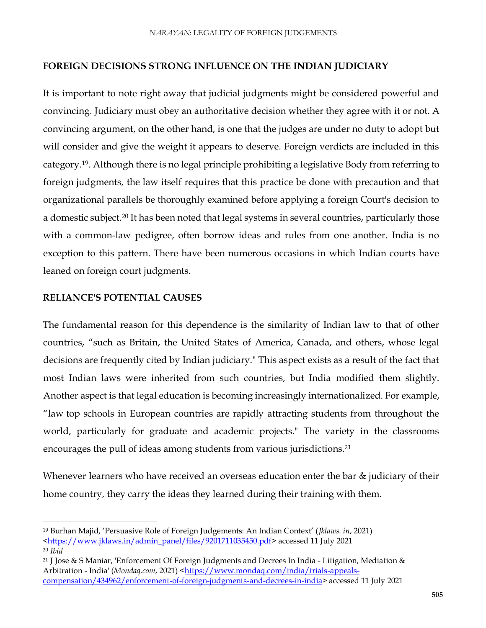#### **FOREIGN DECISIONS STRONG INFLUENCE ON THE INDIAN JUDICIARY**

It is important to note right away that judicial judgments might be considered powerful and convincing. Judiciary must obey an authoritative decision whether they agree with it or not. A convincing argument, on the other hand, is one that the judges are under no duty to adopt but will consider and give the weight it appears to deserve. Foreign verdicts are included in this category.19. Although there is no legal principle prohibiting a legislative Body from referring to foreign judgments, the law itself requires that this practice be done with precaution and that organizational parallels be thoroughly examined before applying a foreign Court's decision to a domestic subject.<sup>20</sup> It has been noted that legal systems in several countries, particularly those with a common-law pedigree, often borrow ideas and rules from one another. India is no exception to this pattern. There have been numerous occasions in which Indian courts have leaned on foreign court judgments.

#### **RELIANCE'S POTENTIAL CAUSES**

 $\overline{a}$ 

The fundamental reason for this dependence is the similarity of Indian law to that of other countries, "such as Britain, the United States of America, Canada, and others, whose legal decisions are frequently cited by Indian judiciary." This aspect exists as a result of the fact that most Indian laws were inherited from such countries, but India modified them slightly. Another aspect is that legal education is becoming increasingly internationalized. For example, "law top schools in European countries are rapidly attracting students from throughout the world, particularly for graduate and academic projects." The variety in the classrooms encourages the pull of ideas among students from various jurisdictions.<sup>21</sup>

Whenever learners who have received an overseas education enter the bar & judiciary of their home country, they carry the ideas they learned during their training with them.

<sup>19</sup> Burhan Majid, 'Persuasive Role of Foreign Judgements: An Indian Context' (*Jklaws. in*, 2021) [<https://www.jklaws.in/admin\\_panel/files/9201711035450.pdf>](https://www.jklaws.in/admin_panel/files/9201711035450.pdf) accessed 11 July 2021 <sup>20</sup> *Ibid*

<sup>21</sup> J Jose & S Maniar, 'Enforcement Of Foreign Judgments and Decrees In India - Litigation, Mediation & Arbitration - India' (Mondaq.com, 2021) [<https://www.mondaq.com/india/trials-appeals](https://www.mondaq.com/india/trials-appeals-compensation/434962/enforcement-of-foreign-judgments-and-decrees-in-india)[compensation/434962/enforcement-of-foreign-judgments-and-decrees-in-india>](https://www.mondaq.com/india/trials-appeals-compensation/434962/enforcement-of-foreign-judgments-and-decrees-in-india) accessed 11 July 2021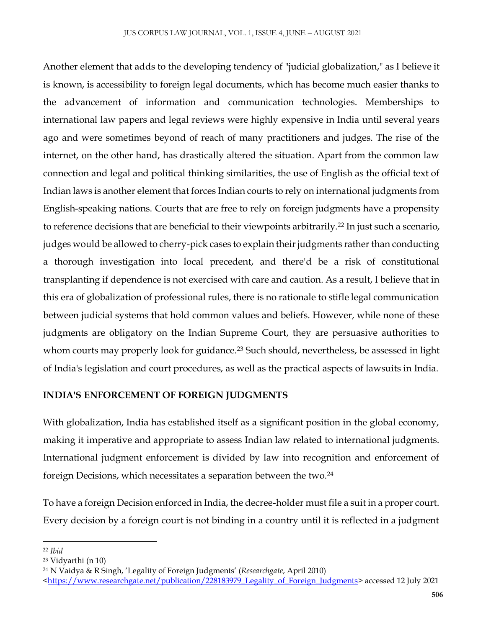Another element that adds to the developing tendency of "judicial globalization," as I believe it is known, is accessibility to foreign legal documents, which has become much easier thanks to the advancement of information and communication technologies. Memberships to international law papers and legal reviews were highly expensive in India until several years ago and were sometimes beyond of reach of many practitioners and judges. The rise of the internet, on the other hand, has drastically altered the situation. Apart from the common law connection and legal and political thinking similarities, the use of English as the official text of Indian laws is another element that forces Indian courts to rely on international judgments from English-speaking nations. Courts that are free to rely on foreign judgments have a propensity to reference decisions that are beneficial to their viewpoints arbitrarily.<sup>22</sup> In just such a scenario, judges would be allowed to cherry-pick cases to explain their judgments rather than conducting a thorough investigation into local precedent, and there'd be a risk of constitutional transplanting if dependence is not exercised with care and caution. As a result, I believe that in this era of globalization of professional rules, there is no rationale to stifle legal communication between judicial systems that hold common values and beliefs. However, while none of these judgments are obligatory on the Indian Supreme Court, they are persuasive authorities to whom courts may properly look for guidance.<sup>23</sup> Such should, nevertheless, be assessed in light of India's legislation and court procedures, as well as the practical aspects of lawsuits in India.

# **INDIA'S ENFORCEMENT OF FOREIGN JUDGMENTS**

With globalization, India has established itself as a significant position in the global economy, making it imperative and appropriate to assess Indian law related to international judgments. International judgment enforcement is divided by law into recognition and enforcement of foreign Decisions, which necessitates a separation between the two.<sup>24</sup>

To have a foreign Decision enforced in India, the decree-holder must file a suit in a proper court. Every decision by a foreign court is not binding in a country until it is reflected in a judgment

 $\overline{\phantom{a}}$ <sup>22</sup> *Ibid*

<sup>23</sup> Vidyarthi (n 10)

<sup>24</sup> N Vaidya & R Singh, 'Legality of Foreign Judgments' (*Researchgate*, April 2010)

[<sup>&</sup>lt;https://www.researchgate.net/publication/228183979\\_Legality\\_of\\_Foreign\\_Judgments>](https://www.researchgate.net/publication/228183979_Legality_of_Foreign_Judgments) accessed 12 July 2021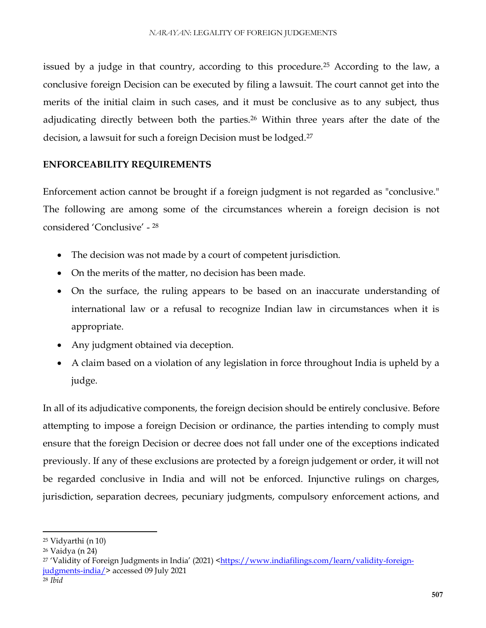issued by a judge in that country, according to this procedure.<sup>25</sup> According to the law, a conclusive foreign Decision can be executed by filing a lawsuit. The court cannot get into the merits of the initial claim in such cases, and it must be conclusive as to any subject, thus adjudicating directly between both the parties.<sup>26</sup> Within three years after the date of the decision, a lawsuit for such a foreign Decision must be lodged.<sup>27</sup>

# **ENFORCEABILITY REQUIREMENTS**

Enforcement action cannot be brought if a foreign judgment is not regarded as "conclusive." The following are among some of the circumstances wherein a foreign decision is not considered 'Conclusive' - 28

- The decision was not made by a court of competent jurisdiction.
- On the merits of the matter, no decision has been made.
- On the surface, the ruling appears to be based on an inaccurate understanding of international law or a refusal to recognize Indian law in circumstances when it is appropriate.
- Any judgment obtained via deception.
- A claim based on a violation of any legislation in force throughout India is upheld by a judge.

In all of its adjudicative components, the foreign decision should be entirely conclusive. Before attempting to impose a foreign Decision or ordinance, the parties intending to comply must ensure that the foreign Decision or decree does not fall under one of the exceptions indicated previously. If any of these exclusions are protected by a foreign judgement or order, it will not be regarded conclusive in India and will not be enforced. Injunctive rulings on charges, jurisdiction, separation decrees, pecuniary judgments, compulsory enforcement actions, and

<sup>25</sup> Vidyarthi (n 10)

<sup>26</sup> Vaidya (n 24)

<sup>&</sup>lt;sup>27</sup> 'Validity of Foreign Judgments in India' (2021) <[https://www.indiafilings.com/learn/validity-foreign](https://www.indiafilings.com/learn/validity-foreign-judgments-india/)[judgments-india/>](https://www.indiafilings.com/learn/validity-foreign-judgments-india/) accessed 09 July 2021

<sup>28</sup> *Ibid*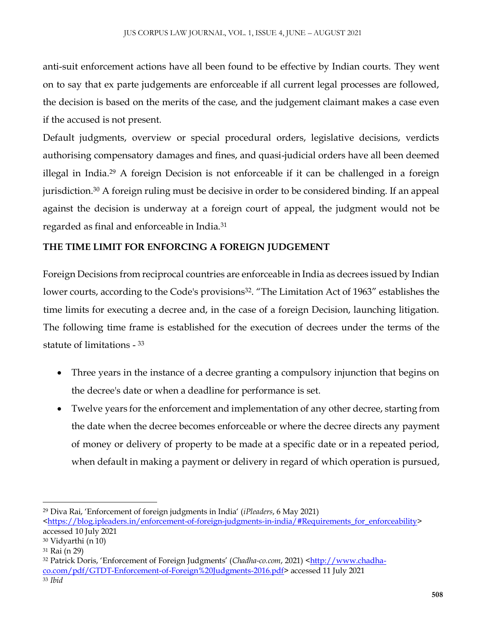anti-suit enforcement actions have all been found to be effective by Indian courts. They went on to say that ex parte judgements are enforceable if all current legal processes are followed, the decision is based on the merits of the case, and the judgement claimant makes a case even if the accused is not present.

Default judgments, overview or special procedural orders, legislative decisions, verdicts authorising compensatory damages and fines, and quasi-judicial orders have all been deemed illegal in India.<sup>29</sup> A foreign Decision is not enforceable if it can be challenged in a foreign jurisdiction.<sup>30</sup> A foreign ruling must be decisive in order to be considered binding. If an appeal against the decision is underway at a foreign court of appeal, the judgment would not be regarded as final and enforceable in India.<sup>31</sup>

# **THE TIME LIMIT FOR ENFORCING A FOREIGN JUDGEMENT**

Foreign Decisions from reciprocal countries are enforceable in India as decrees issued by Indian lower courts, according to the Code's provisions<sup>32</sup>. "The Limitation Act of 1963" establishes the time limits for executing a decree and, in the case of a foreign Decision, launching litigation. The following time frame is established for the execution of decrees under the terms of the statute of limitations - 33

- Three years in the instance of a decree granting a compulsory injunction that begins on the decree's date or when a deadline for performance is set.
- Twelve years for the enforcement and implementation of any other decree, starting from the date when the decree becomes enforceable or where the decree directs any payment of money or delivery of property to be made at a specific date or in a repeated period, when default in making a payment or delivery in regard of which operation is pursued,

<sup>29</sup> Diva Rai, 'Enforcement of foreign judgments in India' (*iPleaders*, 6 May 2021)

[<sup>&</sup>lt;https://blog.ipleaders.in/enforcement-of-foreign-judgments-in-india/#Requirements\\_for\\_enforceability>](https://blog.ipleaders.in/enforcement-of-foreign-judgments-in-india/#Requirements_for_enforceability) accessed 10 July 2021

<sup>30</sup> Vidyarthi (n 10)

<sup>31</sup> Rai (n 29)

<sup>32</sup> Patrick Doris, 'Enforcement of Foreign Judgments' (Chadha-co.com, 2021) [<http://www.chadha](http://www.chadha-co.com/pdf/GTDT-Enforcement-of-Foreign%20Judgments-2016.pdf)[co.com/pdf/GTDT-Enforcement-of-Foreign%20Judgments-2016.pdf>](http://www.chadha-co.com/pdf/GTDT-Enforcement-of-Foreign%20Judgments-2016.pdf) accessed 11 July 2021 <sup>33</sup> *Ibid*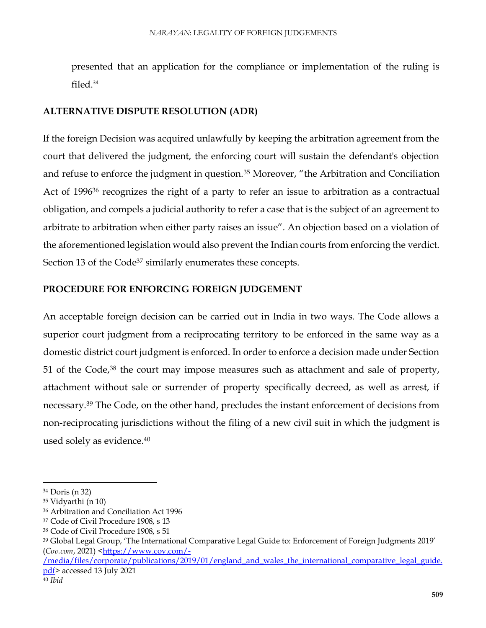presented that an application for the compliance or implementation of the ruling is filed.<sup>34</sup>

### **ALTERNATIVE DISPUTE RESOLUTION (ADR)**

If the foreign Decision was acquired unlawfully by keeping the arbitration agreement from the court that delivered the judgment, the enforcing court will sustain the defendant's objection and refuse to enforce the judgment in question.<sup>35</sup> Moreover, "the Arbitration and Conciliation Act of 1996<sup>36</sup> recognizes the right of a party to refer an issue to arbitration as a contractual obligation, and compels a judicial authority to refer a case that is the subject of an agreement to arbitrate to arbitration when either party raises an issue". An objection based on a violation of the aforementioned legislation would also prevent the Indian courts from enforcing the verdict. Section 13 of the Code<sup>37</sup> similarly enumerates these concepts.

#### **PROCEDURE FOR ENFORCING FOREIGN JUDGEMENT**

An acceptable foreign decision can be carried out in India in two ways. The Code allows a superior court judgment from a reciprocating territory to be enforced in the same way as a domestic district court judgment is enforced. In order to enforce a decision made under Section 51 of the Code,<sup>38</sup> the court may impose measures such as attachment and sale of property, attachment without sale or surrender of property specifically decreed, as well as arrest, if necessary.<sup>39</sup> The Code, on the other hand, precludes the instant enforcement of decisions from non-reciprocating jurisdictions without the filing of a new civil suit in which the judgment is used solely as evidence.<sup>40</sup>

<sup>34</sup> Doris (n 32)

<sup>35</sup> Vidyarthi (n 10)

<sup>36</sup> Arbitration and Conciliation Act 1996

<sup>37</sup> Code of Civil Procedure 1908, s 13

<sup>38</sup> Code of Civil Procedure 1908, s 51

<sup>39</sup> Global Legal Group, 'The International Comparative Legal Guide to: Enforcement of Foreign Judgments 2019' (*Cov.com*, 2021) [<https://www.cov.com/-](https://www.cov.com/-/media/files/corporate/publications/2019/01/england_and_wales_the_international_comparative_legal_guide.pdf)

[<sup>/</sup>media/files/corporate/publications/2019/01/england\\_and\\_wales\\_the\\_international\\_comparative\\_legal\\_guide.](https://www.cov.com/-/media/files/corporate/publications/2019/01/england_and_wales_the_international_comparative_legal_guide.pdf) [pdf>](https://www.cov.com/-/media/files/corporate/publications/2019/01/england_and_wales_the_international_comparative_legal_guide.pdf) accessed 13 July 2021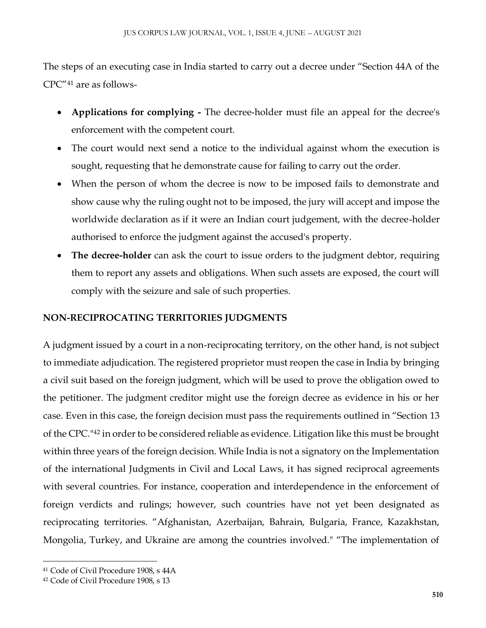The steps of an executing case in India started to carry out a decree under "Section 44A of the CPC"<sup>41</sup> are as follows-

- **Applications for complying -** The decree-holder must file an appeal for the decree's enforcement with the competent court.
- The court would next send a notice to the individual against whom the execution is sought, requesting that he demonstrate cause for failing to carry out the order.
- When the person of whom the decree is now to be imposed fails to demonstrate and show cause why the ruling ought not to be imposed, the jury will accept and impose the worldwide declaration as if it were an Indian court judgement, with the decree-holder authorised to enforce the judgment against the accused's property.
- The decree-holder can ask the court to issue orders to the judgment debtor, requiring them to report any assets and obligations. When such assets are exposed, the court will comply with the seizure and sale of such properties.

# **NON-RECIPROCATING TERRITORIES JUDGMENTS**

A judgment issued by a court in a non-reciprocating territory, on the other hand, is not subject to immediate adjudication. The registered proprietor must reopen the case in India by bringing a civil suit based on the foreign judgment, which will be used to prove the obligation owed to the petitioner. The judgment creditor might use the foreign decree as evidence in his or her case. Even in this case, the foreign decision must pass the requirements outlined in "Section 13 of the CPC."<sup>42</sup> in order to be considered reliable as evidence. Litigation like this must be brought within three years of the foreign decision. While India is not a signatory on the Implementation of the international Judgments in Civil and Local Laws, it has signed reciprocal agreements with several countries. For instance, cooperation and interdependence in the enforcement of foreign verdicts and rulings; however, such countries have not yet been designated as reciprocating territories. "Afghanistan, Azerbaijan, Bahrain, Bulgaria, France, Kazakhstan, Mongolia, Turkey, and Ukraine are among the countries involved." "The implementation of

<sup>41</sup> Code of Civil Procedure 1908, s 44A

<sup>42</sup> Code of Civil Procedure 1908, s 13